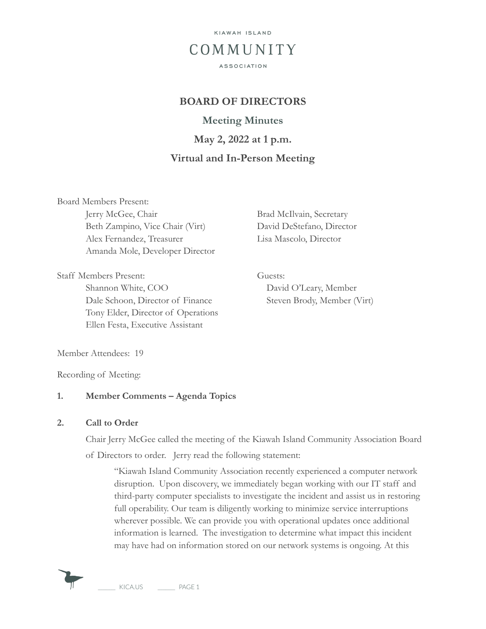

# **BOARD OF DIRECTORS**

**Meeting Minutes May 2, 2022 at 1 p.m. Virtual and In-Person Meeting**

Board Members Present: Jerry McGee, Chair Brad McIlvain, Secretary Beth Zampino, Vice Chair (Virt) David DeStefano, Director Alex Fernandez, Treasurer Lisa Mascolo, Director Amanda Mole, Developer Director

Staff Members Present: Guests: Shannon White, COO David O'Leary, Member Dale Schoon, Director of Finance Steven Brody, Member (Virt) Tony Elder, Director of Operations Ellen Festa, Executive Assistant

Member Attendees: 19

Recording of Meeting:

#### **1. Member Comments – Agenda Topics**

#### **2. Call to Order**

Chair Jerry McGee called the meeting of the Kiawah Island Community Association Board of Directors to order. Jerry read the following statement:

"Kiawah Island Community Association recently experienced a computer network disruption. Upon discovery, we immediately began working with our IT staff and third-party computer specialists to investigate the incident and assist us in restoring full operability. Our team is diligently working to minimize service interruptions wherever possible. We can provide you with operational updates once additional information is learned. The investigation to determine what impact this incident may have had on information stored on our network systems is ongoing. At this

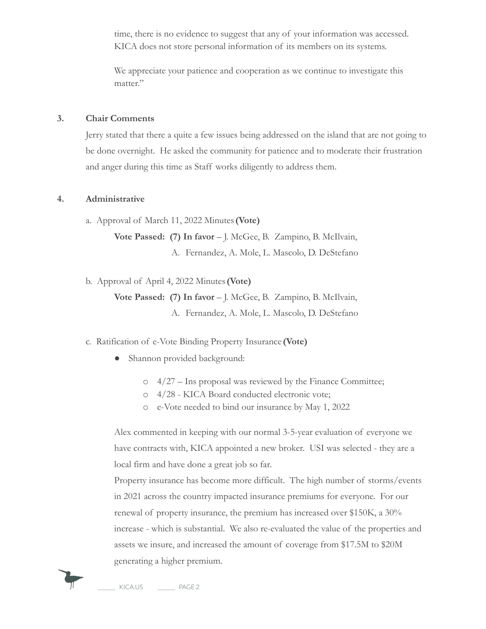time, there is no evidence to suggest that any of your information was accessed. KICA does not store personal information of its members on its systems.

We appreciate your patience and cooperation as we continue to investigate this matter."

#### **3. Chair Comments**

Jerry stated that there a quite a few issues being addressed on the island that are not going to be done overnight. He asked the community for patience and to moderate their frustration and anger during this time as Staff works diligently to address them.

#### **4. Administrative**

a. Approval of March 11, 2022 Minutes**(Vote)**

**Vote Passed: (7) In favor** – J. McGee, B. Zampino, B. McIlvain,

A. Fernandez, A. Mole, L. Mascolo, D. DeStefano

b. Approval of April 4, 2022 Minutes**(Vote)**

**Vote Passed: (7) In favor** – J. McGee, B. Zampino, B. McIlvain,

A. Fernandez, A. Mole, L. Mascolo, D. DeStefano

#### c. Ratification of e-Vote Binding Property Insurance **(Vote)**

- Shannon provided background:
	- o 4/27 Ins proposal was reviewed by the Finance Committee;
	- o 4/28 KICA Board conducted electronic vote;
	- o e-Vote needed to bind our insurance by May 1, 2022

Alex commented in keeping with our normal 3-5-year evaluation of everyone we have contracts with, KICA appointed a new broker. USI was selected - they are a local firm and have done a great job so far.

Property insurance has become more difficult. The high number of storms/events in 2021 across the country impacted insurance premiums for everyone. For our renewal of property insurance, the premium has increased over \$150K, a 30% increase - which is substantial. We also re-evaluated the value of the properties and assets we insure, and increased the amount of coverage from \$17.5M to \$20M generating a higher premium.

KICA.US PAGE 2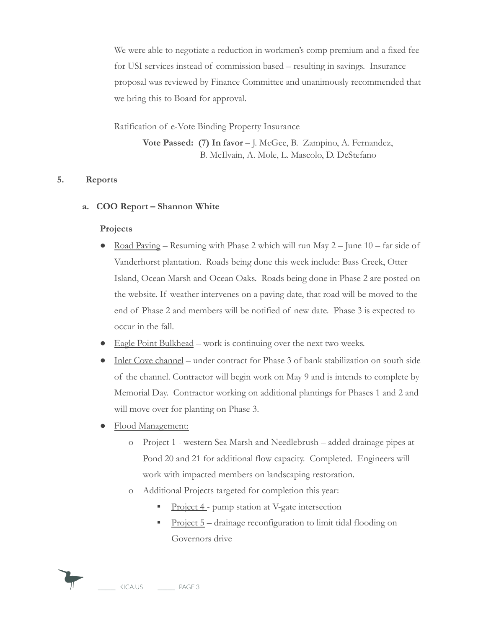We were able to negotiate a reduction in workmen's comp premium and a fixed fee for USI services instead of commission based – resulting in savings. Insurance proposal was reviewed by Finance Committee and unanimously recommended that we bring this to Board for approval.

Ratification of e-Vote Binding Property Insurance

**Vote Passed: (7) In favor** – J. McGee, B. Zampino, A. Fernandez, B. McIlvain, A. Mole, L. Mascolo, D. DeStefano

#### **5. Reports**

#### **a. COO Report – Shannon White**

#### **Projects**

- Road Paving Resuming with Phase 2 which will run May  $2$  June  $10$  far side of Vanderhorst plantation. Roads being done this week include: Bass Creek, Otter Island, Ocean Marsh and Ocean Oaks. Roads being done in Phase 2 are posted on the website. If weather intervenes on a paving date, that road will be moved to the end of Phase 2 and members will be notified of new date. Phase 3 is expected to occur in the fall.
- Eagle Point Bulkhead work is continuing over the next two weeks.
- Inlet Cove channel under contract for Phase 3 of bank stabilization on south side of the channel. Contractor will begin work on May 9 and is intends to complete by Memorial Day. Contractor working on additional plantings for Phases 1 and 2 and will move over for planting on Phase 3.
- Flood Management:
	- o Project 1 western Sea Marsh and Needlebrush added drainage pipes at Pond 20 and 21 for additional flow capacity. Completed. Engineers will work with impacted members on landscaping restoration.
	- o Additional Projects targeted for completion this year:
		- **Project 4** pump station at V-gate intersection
		- Project 5 drainage reconfiguration to limit tidal flooding on Governors drive

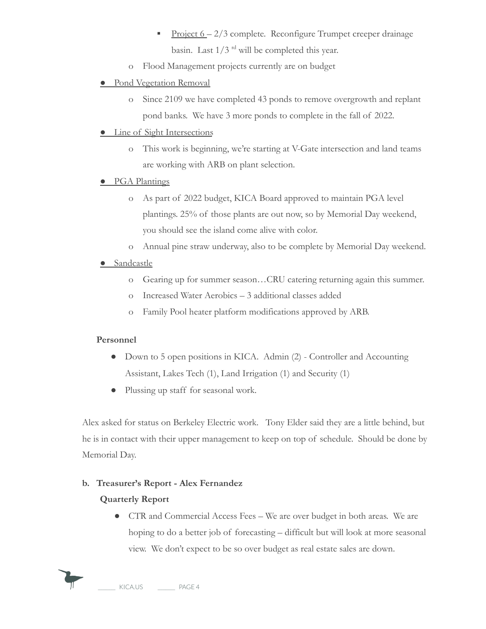- **•** Project  $6 2/3$  complete. Reconfigure Trumpet creeper drainage basin. Last  $1/3$  <sup>rd</sup> will be completed this year.
- o Flood Management projects currently are on budget

## ● Pond Vegetation Removal

o Since 2109 we have completed 43 ponds to remove overgrowth and replant pond banks. We have 3 more ponds to complete in the fall of 2022.

### ● Line of Sight Intersections

o This work is beginning, we're starting at V-Gate intersection and land teams are working with ARB on plant selection.

### ● PGA Plantings

- o As part of 2022 budget, KICA Board approved to maintain PGA level plantings. 25% of those plants are out now, so by Memorial Day weekend, you should see the island come alive with color.
- o Annual pine straw underway, also to be complete by Memorial Day weekend.

## ● Sandcastle

- o Gearing up for summer season…CRU catering returning again this summer.
- o Increased Water Aerobics 3 additional classes added
- o Family Pool heater platform modifications approved by ARB.

# **Personnel**

- Down to 5 open positions in KICA. Admin (2) Controller and Accounting Assistant, Lakes Tech (1), Land Irrigation (1) and Security (1)
- Plussing up staff for seasonal work.

Alex asked for status on Berkeley Electric work. Tony Elder said they are a little behind, but he is in contact with their upper management to keep on top of schedule. Should be done by Memorial Day.

# **b. Treasurer's Report - Alex Fernandez**

# **Quarterly Report**

● CTR and Commercial Access Fees – We are over budget in both areas. We are hoping to do a better job of forecasting – difficult but will look at more seasonal view. We don't expect to be so over budget as real estate sales are down.

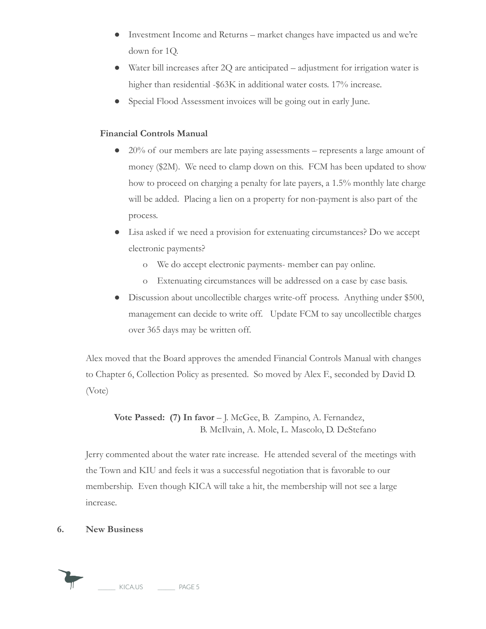- Investment Income and Returns market changes have impacted us and we're down for 1Q.
- Water bill increases after 2Q are anticipated adjustment for irrigation water is higher than residential -\$63K in additional water costs. 17% increase.
- Special Flood Assessment invoices will be going out in early June.

## **Financial Controls Manual**

- 20% of our members are late paying assessments represents a large amount of money (\$2M). We need to clamp down on this. FCM has been updated to show how to proceed on charging a penalty for late payers, a 1.5% monthly late charge will be added. Placing a lien on a property for non-payment is also part of the process.
- Lisa asked if we need a provision for extenuating circumstances? Do we accept electronic payments?
	- o We do accept electronic payments- member can pay online.
	- o Extenuating circumstances will be addressed on a case by case basis.
- Discussion about uncollectible charges write-off process. Anything under \$500, management can decide to write off. Update FCM to say uncollectible charges over 365 days may be written off.

Alex moved that the Board approves the amended Financial Controls Manual with changes to Chapter 6, Collection Policy as presented. So moved by Alex F., seconded by David D. (Vote)

**Vote Passed: (7) In favor** – J. McGee, B. Zampino, A. Fernandez, B. McIlvain, A. Mole, L. Mascolo, D. DeStefano

Jerry commented about the water rate increase. He attended several of the meetings with the Town and KIU and feels it was a successful negotiation that is favorable to our membership. Even though KICA will take a hit, the membership will not see a large increase.

### **6. New Business**

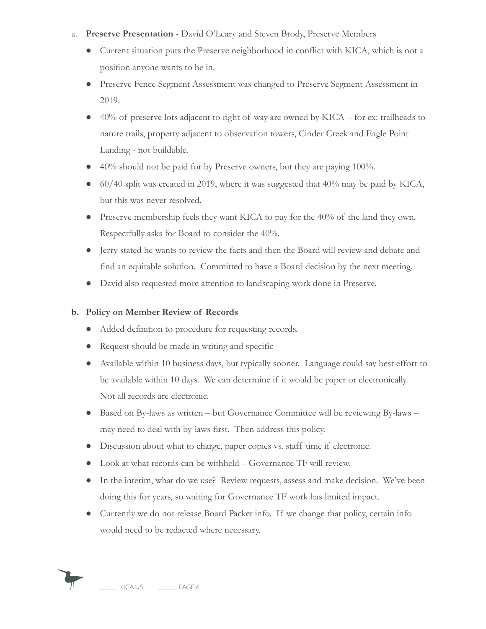- a. **Preserve Presentation** David O'Leary and Steven Brody, Preserve Members
	- Current situation puts the Preserve neighborhood in conflict with KICA, which is not a position anyone wants to be in.
	- Preserve Fence Segment Assessment was changed to Preserve Segment Assessment in 2019.
	- $40\%$  of preserve lots adjacent to right of way are owned by KICA for ex: trailheads to nature trails, property adjacent to observation towers, Cinder Creek and Eagle Point Landing - not buildable.
	- $40\%$  should not be paid for by Preserve owners, but they are paying 100%.
	- 60/40 split was created in 2019, where it was suggested that 40% may be paid by KICA, but this was never resolved.
	- Preserve membership feels they want KICA to pay for the 40% of the land they own. Respectfully asks for Board to consider the 40%.
	- Jerry stated he wants to review the facts and then the Board will review and debate and find an equitable solution. Committed to have a Board decision by the next meeting.
	- David also requested more attention to landscaping work done in Preserve.

## **b. Policy on Member Review of Records**

- Added definition to procedure for requesting records.
- Request should be made in writing and specific
- Available within 10 business days, but typically sooner. Language could say best effort to be available within 10 days. We can determine if it would be paper or electronically. Not all records are electronic.
- Based on By-laws as written but Governance Committee will be reviewing By-laws may need to deal with by-laws first. Then address this policy.
- Discussion about what to charge, paper copies vs. staff time if electronic.
- Look at what records can be withheld Governance TF will review.
- In the interim, what do we use? Review requests, assess and make decision. We've been doing this for years, so waiting for Governance TF work has limited impact.
- Currently we do not release Board Packet info. If we change that policy, certain info would need to be redacted where necessary.

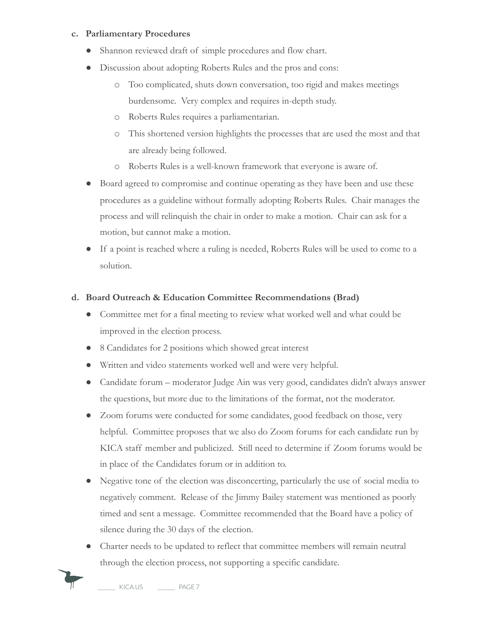#### **c. Parliamentary Procedures**

- Shannon reviewed draft of simple procedures and flow chart.
- Discussion about adopting Roberts Rules and the pros and cons:
	- o Too complicated, shuts down conversation, too rigid and makes meetings burdensome. Very complex and requires in-depth study.
	- o Roberts Rules requires a parliamentarian.
	- o This shortened version highlights the processes that are used the most and that are already being followed.
	- o Roberts Rules is a well-known framework that everyone is aware of.
- Board agreed to compromise and continue operating as they have been and use these procedures as a guideline without formally adopting Roberts Rules. Chair manages the process and will relinquish the chair in order to make a motion. Chair can ask for a motion, but cannot make a motion.
- If a point is reached where a ruling is needed, Roberts Rules will be used to come to a solution.

#### **d. Board Outreach & Education Committee Recommendations (Brad)**

- Committee met for a final meeting to review what worked well and what could be improved in the election process.
- 8 Candidates for 2 positions which showed great interest
- Written and video statements worked well and were very helpful.
- Candidate forum moderator Judge Ain was very good, candidates didn't always answer the questions, but more due to the limitations of the format, not the moderator.
- Zoom forums were conducted for some candidates, good feedback on those, very helpful. Committee proposes that we also do Zoom forums for each candidate run by KICA staff member and publicized. Still need to determine if Zoom forums would be in place of the Candidates forum or in addition to.
- Negative tone of the election was disconcerting, particularly the use of social media to negatively comment. Release of the Jimmy Bailey statement was mentioned as poorly timed and sent a message. Committee recommended that the Board have a policy of silence during the 30 days of the election.
- Charter needs to be updated to reflect that committee members will remain neutral through the election process, not supporting a specific candidate.



KICA.US PAGE 7